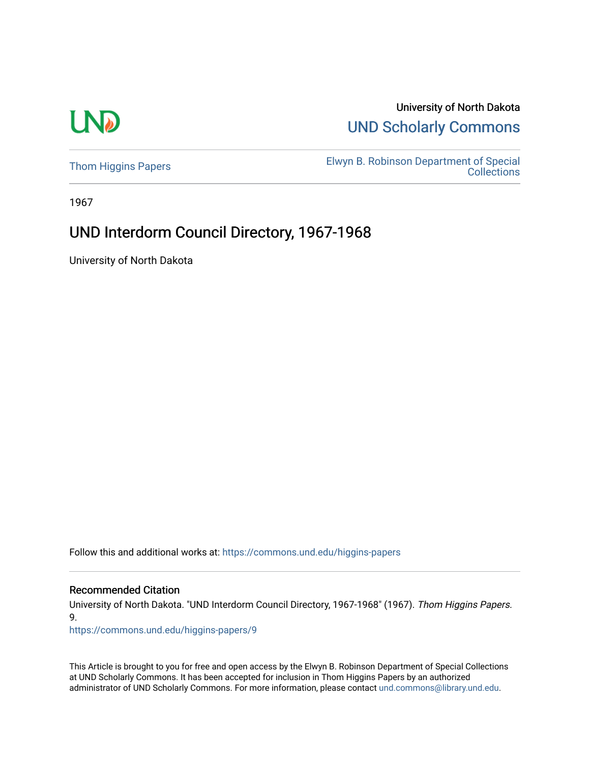# **LND**

## University of North Dakota [UND Scholarly Commons](https://commons.und.edu/)

[Thom Higgins Papers](https://commons.und.edu/higgins-papers) [Elwyn B. Robinson Department of Special](https://commons.und.edu/archives)  [Collections](https://commons.und.edu/archives) 

1967

## UND Interdorm Council Directory, 1967-1968

University of North Dakota

Follow this and additional works at: [https://commons.und.edu/higgins-papers](https://commons.und.edu/higgins-papers?utm_source=commons.und.edu%2Fhiggins-papers%2F9&utm_medium=PDF&utm_campaign=PDFCoverPages) 

#### Recommended Citation

University of North Dakota. "UND Interdorm Council Directory, 1967-1968" (1967). Thom Higgins Papers. 9.

[https://commons.und.edu/higgins-papers/9](https://commons.und.edu/higgins-papers/9?utm_source=commons.und.edu%2Fhiggins-papers%2F9&utm_medium=PDF&utm_campaign=PDFCoverPages) 

This Article is brought to you for free and open access by the Elwyn B. Robinson Department of Special Collections at UND Scholarly Commons. It has been accepted for inclusion in Thom Higgins Papers by an authorized administrator of UND Scholarly Commons. For more information, please contact [und.commons@library.und.edu.](mailto:und.commons@library.und.edu)